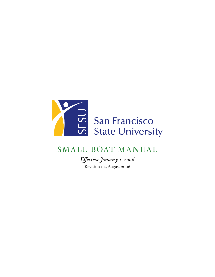

# SMALL BOAT MANUAL

*Effective January 1, 2006* Revision 1.4, August 2006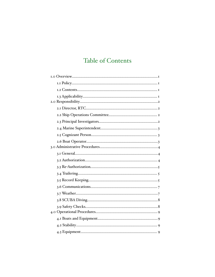# **Table of Contents**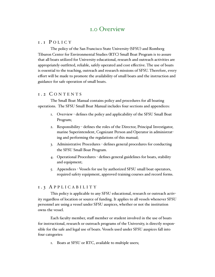## <span id="page-2-0"></span>1.0 Overview

### <span id="page-2-1"></span>1 . 1 P O L I C Y

The policy of the San Francisco State University (SFSU) and Romberg Tiburon Center for Environmental Studies (RTC) Small Boat Program is to assure that all boats utilized for University educational, research and outreach activities are appropriately outfitted, reliable, safely operated and cost effective. The use of boats is essential to the teaching, outreach and research missions of SFSU. Therefore, every effort will be made to promote the availability of small boats and the instruction and guidance for safe operation of small boats.

#### <span id="page-2-2"></span>1 . 2 C O N T E N T S

The Small Boat Manual contains policy and procedures for all boating operations. The SFSU Small Boat Manual includes four sections and appendices:

- 1. Overview defines the policy and applicability of the SFSU Small Boat Program;
- 2. Responsibility defines the roles of the Director, Principal Investigator, marine Superintendent, Cognizant Person and Operator in administrating and performing the regulations of this manual;
- 3. Administrative Procedures defines general procedures for conducting the SFSU Small Boat Program.
- 4. Operational Procedures defines general guidelines for boats, stability and equipment;
- 5. Appendices Vessels for use by authorized SFSU small boat operators, required safety equipment, approved training courses and record forms.

#### <span id="page-2-3"></span>1 . 3 A P P L I C A B I L I T Y

This policy is applicable to any SFSU educational, research or outreach activity regardless of location or source of funding. It applies to all vessels whenever SFSU personnel are using a vessel under SFSU auspices, whether or not the institution owns the vessel.

Each faculty member, staff member or student involved in the use of boats for instructional, research or outreach programs of the University, is directly responsible for the safe and legal use of boats. Vessels used under SFSU auspices fall into four categories:

1. Boats at SFSU or RTC, available to multiple users;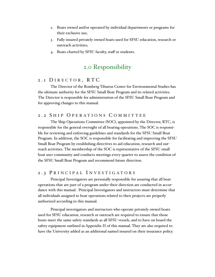- 2. Boats owned and/or operated by individual departments or programs for their exclusive use;
- 3. Fully insured privately owned boats used for SFSU education, research or outreach activities;
- 4. Boats charted by SFSU faculty, staff or students.

## <span id="page-3-0"></span>2.0 Responsibility

#### <span id="page-3-1"></span>2 . 1 D I R E C T O R , R T C

The Director of the Romberg Tiburon Center for Environmental Studies has the ultimate authority for the SFSU Small Boat Program and its related activities. The Director is responsible for administration of the SFSU Small Boat Program and for approving changes to this manual.

### <span id="page-3-2"></span>2.2 SHIP OPERATIONS COMMITTEE

The Ship Operations Committee (SOC), appointed by the Director, RTC, is responsible for the general oversight of all boating operations. The SOC is responsible for reviewing and enforcing guidelines and standards for the SFSU Small Boat Program. In addition, the SOC is responsible for facilitating and improving the SFSU Small Boat Program by establishing directives to aid education, research and outreach activities. The membership of the SOC is representative of the SFSU small boat user community and conducts meetings every quarter to assess the condition of the SFSU Small Boat Program and recommend future direction.

#### <span id="page-3-3"></span>2.3 PRINCIPAL INVESTIGATORS

Principal Investigators are personally responsible for assuring that all boat operations that are part of a program under their direction are conducted in accordance with this manual. Principal Investigators and instructors must determine that all individuals assigned to boat operations related to their projects are properly authorized according to this manual.

Principal investigators and instructors who operate privately owned boats used for SFSU education, research or outreach are required to ensure that those boats meet the same safety standards as all SFSU vessels, and to have on board the safety equipment outlined in Appendix II of this manual. They are also required to have the University added as an additional named insured on their insurance policy.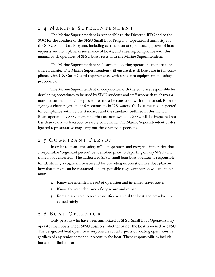### <span id="page-4-0"></span>2 . 4 M A R I N E S U P E R I N T E N D E N T

The Marine Superintendent is responsible to the Director, RTC and to the SOC for the conduct of the SFSU Small Boat Program. Operational authority for the SFSU Small Boat Program, including certification of operators, approval of boat requests and float plans, maintenance of boats, and ensuring compliance with this manual by all operators of SFSU boats rests with the Marine Superintendent.

The Marine Superintendent shall suspend boating operations that are considered unsafe. The Marine Superintendent will ensure that all boats are in full compliance with U.S. Coast Guard requirements, with respect to equipment and safety procedures.

The Marine Superintendent in conjunction with the SOC are responsible for developing procedures to be used by SFSU students and staff who wish to charter a non-institutional boat. The procedures must be consistent with this manual. Prior to signing a charter agreement for operations in U.S. waters, the boat must be inspected for compliance with USCG standards and the standards outlined in this manual. Boats operated by SFSU personnel that are not owned by SFSU will be inspected not less than yearly with respect to safety equipment. The Marine Superintendent or designated representative may carry out these safety inspections.

#### <span id="page-4-1"></span>2 . 5 C O G N I Z A N T P E R S O N

In order to insure the safety of boat operators and crew, it is imperative that a responsible "cognizant person" be identified prior to departing on any SFSU sanctioned boat excursion. The authorized SFSU small boat boat operator is responsible for identifying a cognizant person and for providing information in a float plan on how that person can be contacted. The responsible cognizant person will at a minimum:

- 1. Know the intended area(s) of operation and intended travel route;
- 2. Know the intended time of departure and return;
- 3. Remain available to receive notification until the boat and crew have returned safely.

### <span id="page-4-2"></span>2 . 6 B O A T O P E R A T O R

Only persons who have been authorized as SFSU Small Boat Operators may operate small boats under SFSU auspices, whether or not the boat is owned by SFSU. The designated boat operator is responsible for all aspects of boating operations, regardless of any senior personnel present in the boat. These responsibilities include, but are not limited to: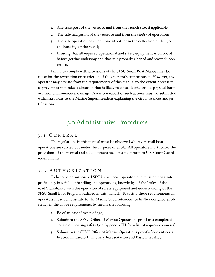- 1. Safe transport of the vessel to and from the launch site, if applicable;
- 2. The safe navigation of the vessel to and from the site(s) of operation;
- 3. The safe operation of all equipment, either in the collection of data, or the handling of the vessel;
- 4. Insuring that all required operational and safety equipment is on board before getting underway and that it is properly cleaned and stowed upon return.

Failure to comply with provisions of the SFSU Small Boat Manual may be cause for the revocation or restriction of the operator's authorization. However, any operator may deviate from the requirements of this manual to the extent necessary to prevent or minimize a situation that is likely to cause death, serious physical harm, or major environmental damage. A written report of such actions must be submitted within 24-hours to the Marine Superintendent explaining the circumstances and justifications.

## <span id="page-5-0"></span>3.0 Administrative Procedures

#### <span id="page-5-1"></span>3 . 1 G E N E R A L

The regulations in this manual must be observed wherever small boat operations are carried out under the auspices of SFSU. All operators must follow the provisions of the manual and all equipment used must conform to U.S. Coast Guard requirements.

#### <span id="page-5-2"></span>3 . 2 A U T H O R I Z A T I O N

To become an authorized SFSU small boat operator, one must demonstrate proficiency in safe boat handling and operations, knowledge of the "rules of the road", familiarity with the operation of safety equipment and understanding of the SFSU Small Boat Program outlined in this manual. To satisfy these requirements all operators must demonstrate to the Marine Superintendent or his/her designee, proficiency in the above requirements by means the following:

- 1. Be of at least 18 years of age;
- 2. Submit to the SFSU Office of Marine Operations proof of a completed course on boating safety (see Appendix III for a list of approved courses);
- 3. Submit to the SFSU Office of Marine Operations proof of current certification in Cardio-Pulmonary Resuscitation and Basic First Aid;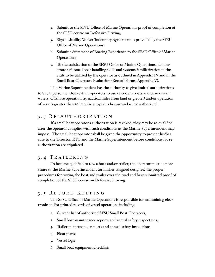- 4. Submit to the SFSU Office of Marine Operations proof of completion of the SFSU course on Defensive Driving;
- 5. Sign a Liability Waiver/Indemnity Agreement as provided by the SFSU Office of Marine Operations;
- 6. Submit a Statement of Boating Experience to the SFSU Office of Marine Operations;
- 7. To the satisfaction of the SFSU Office of Marine Operations, demonstrate safe small boat handling skills and systems familiarization in the craft to be utilized by the operator as outlined in Appendix IV and in the Small Boat Operators Evaluation (Record Forms, Appendix V).

The Marine Superintendent has the authority to give limited authorizations to SFSU personnel that restrict operators to use of certain boats and/or in certain waters. Offshore operation (15 nautical miles from land or greater) and/or operation of vessels greater than 30' require a captains license and is not authorized.

### <span id="page-6-0"></span>3 . 3 R E - A U T H O R I Z A T I O N

If a small boat operator's authorization is revoked, they may be re-qualified after the operator complies with such conditions as the Marine Superintendent may impose. The small boat operator shall be given the opportunity to present his/her case to the Director, RTC and the Marine Superintendent before conditions for reauthorization are stipulated.

## <span id="page-6-1"></span>3 . 4 T R A I L E R I N G

To become qualified to tow a boat and/or trailer, the operator must demonstrate to the Marine Superintendent (or his/her assigned designee) the proper procedures for towing the boat and trailer over the road and have submitted proof of completion of the SFSU course on Defensive Driving.

### <span id="page-6-2"></span>3 . 5 R E C O R D K E E P I N G

The SFSU Office of Marine Operations is responsible for maintaining electronic and/or printed records of vessel operations including:

- 1. Current list of authorized SFSU Small Boat Operators;
- 2. Small boat maintenance reports and annual safety inspections;
- 3. Trailer maintenance reports and annual safety inspections;
- 4. Float plans;
- 5. Vessel logs;
- 6. Small boat equipment checklist;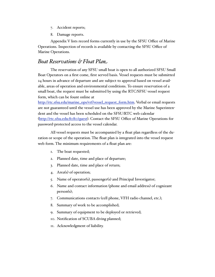- 7. Accident reports;
- 8. Damage reports.

Appendix V lists record forms currently in use by the SFSU Office of Marine Operations. Inspection of records is available by contacting the SFSU Office of Marine Operations.

## *Boat Reservations & Float Plan*

The reservation of any SFSU small boat is open to all authorized SFSU Small Boat Operators on a first come, first served basis. Vessel requests must be submitted 24 hours in advance of departure and are subject to approval based on vessel available, areas of operation and environmental conditions. To ensure reservation of a small boat, the request must be submitted by using the RTC/SFSU vessel request form, which can be fount online at

[http://rtc.sfsu.edu/marine\\_ops/vrf/vessel\\_request\\_form.htm.](http://rtc.sfsu.edu/marine_ops/vrf/vessel_request_form.htm) Verbal or email requests are not guaranteed until the vessel use has been approved by the Marine Superintendent and the vessel has been scheduled on the SFSU/RTC web calendar (<http://rtc.sfsu.edu:8080/quest>). Contact the SFSU Office of Marine Operations for password-protected access to the vessel calendar.

All vessel requests must be accompanied by a float plan regardless of the duration or scope of the operation. The float plan is integrated into the vessel request web form. The minimum requirements of a float plan are:

- 1. The boat requested;
- 2. Planned date, time and place of departure;
- 3. Planned date, time and place of return;
- 4. Area(s) of operation;
- 5. Name of operator(s), passenger(s) and Principal Investigator;
- 6. Name and contact information (phone and email address) of cognizant person(s);
- 7. Communications contacts (cell phone, VFH radio channel, etc.);
- 8. Summary of work to be accomplished;
- 9. Summary of equipment to be deployed or retrieved;
- 10. Notification of SCUBA diving planned;
- 11. Acknowledgment of liability.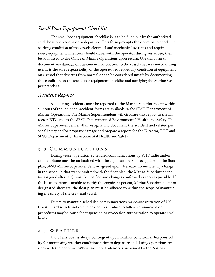## *Sma# Boat Equipment Checklist*

The small boat equipment checklist is is to be filled out by the authorized small boat operator prior to departure. This form prompts the operator to check the working condition of the vessels electrical and mechanical systems and required safety equipment. The form should travel with the operator during vessel use, then be submitted to the Office of Marine Operations upon return. Use this form to document any damage or equipment malfunction to the vessel that was noted during use. It is the sole responsibility of the operator to report any condition of equipment on a vessel that deviates from normal or can be considered unsafe by documenting this condition on the small boat equipment checklist and notifying the Marine Superintendent.

### *Accident Reports*

All boating accidents must be reported to the Marine Superintendent within 24 hours of the incident. Accident forms are available in the SFSU Department of Marine Operations. The Marine Superintendent will circulate this report to the Director, RTC and to the SFSU Department of Environmental Health and Safety. The Marine Superintendent shall investigate and document the accident and related personal injury and/or property damage and prepare a report for the Director, RTC and SFSU Department of Environmental Health and Safety.

#### <span id="page-8-0"></span>3 . 6 C O M M U N I C A T I O N S

During vessel operation. scheduled communications by VHF radio and/or cellular phone must be maintained with the cognizant person recognized in the float plan, SFSU Marine Superintendent or agreed upon alternate. To initiate any change in the schedule that was submitted with the float plan, the Marine Superintendent (or assigned alternate) must be notified and changes confirmed as soon as possible. If the boat operator is unable to notify the cognizant person, Marine Superintendent or designated alternate, the float plan must be adhered to within the scope of maintaining the safety of the crew and vessel.

Failure to maintain scheduled communications may cause initiation of U.S. Coast Guard search and rescue procedures. Failure to follow communication procedures may be cause for suspension or revocation authorization to operate small boats.

#### <span id="page-8-1"></span>3 . 7 W E A T H E R

Use of any boat is always contingent upon weather conditions. Responsibility for monitoring weather conditions prior to departure and during operations resides with the operator. When small craft advisories are issued by the National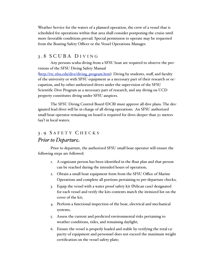Weather Service for the waters of a planned operation, the crew of a vessel that is scheduled for operations within that area shall consider postponing the cruise until more favorable conditions prevail. Special permission to operate may be requested from the Boating Safety Officer or the Vessel Operations Manager.

## <span id="page-9-0"></span>3 . 8 S C U B A D I V I N G

Any persons scuba diving from a SFSU boat are required to observe the provisions of the SFSU Diving Safety Manual

([http://rtc.sfsu.edu/dive/diving\\_program.htm](http://rtc.sfsu.edu/dive/diving_program.htm)). Diving by students, staff, and faculty of the university or with SFSU equipment as a necessary part of their research or occupation, and by other authorized divers under the supervision of the SFSU Scientific Dive Program as a necessary part of research, and any diving on UCD property constitutes diving under SFSU auspices.

The SFSU Diving Control Board (DCB) must approve all dive plans. The designated lead diver will be in charge of all diving operations. An SFSU authorized small boat operator remaining on board is required for dives deeper than 30 meters (99') in local waters.

## <span id="page-9-1"></span>3 . 9 S A F E T Y C H E C K S *Prior to Departure*

Prior to departure, the authorized SFSU small boat operator will ensure the following steps are followed:

- 1. A cognizant person has been identified in the float plan and that person can be reached during the intended hours of operation;
- 2. Obtain a small boat equipment form from the SFSU Office of Marine Operations and complete all portions pertaining to pre-departure checks;
- 3. Equip the vessel with a water proof safety kit (Pelican case) designated for each vessel and verify the kits contents match the itemized list on the cover of the kit;
- 4. Perform a functional inspection of the boat, electrical and mechanical systems;
- 5. Assess the current and predicted environmental risks pertaining to weather conditions, tides, and remaining daylight;
- 6. Ensure the vessel is properly loaded and stable by verifying the total capacity of equipment and personnel does not exceed the maximum weight certification on the vessel safety plate;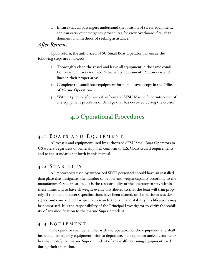7. Ensure that all passengers understand the location of safety equipment, can can carry out emergency procedures for crew overboard, fire, abandonment and methods of seeking assistance.

## *A&er Return*

Upon return, the authorized SFSU Small Boat Operator will ensue the following steps are followed:

- 1. Thoroughly clean the vessel and leave all equipment in the same condition as when it was received. Stow safety equipment, Pelican case and lines in their proper areas;
- 2. Complete the small boat equipment form and leave a copy in the Office of Marine Operations;
- 3. Within 24 hours after arrival, inform the SFSU Marine Superintendent of any equipment problems or damage that has occurred during the cruise.

## <span id="page-10-0"></span>4.0 Operational Procedures

### <span id="page-10-1"></span>4 . 1 B O A T S A N D E Q U I P M E N T

All vessels and equipment used by authorized SFSU Small Boat Operators in US waters, regardless of ownership, will conform to U.S. Coast Guard requirements and to the standards set forth in this manual.

#### <span id="page-10-2"></span>4 . 2 S T A B I L I T Y

All motorboats used by authorized SFSU personnel should have an installed data plate that designates the number of people and weight capacity according to the manufacturer's specifications. It is the responsibility of the operator to stay within these limits and to have all weight evenly distributed so that the boat will trim properly. If the manufacturer's specifications have been altered, or if a platform was designed and constructed for specific research, the trim and stability modifications may be comprised. It is the responsibility of the Principal Investigator to verify the stability of any modification to the marine Superintendent.

### <span id="page-10-3"></span>4 . 3 E Q U I P M E N T

The operator shall be familiar with the operation of the equipment and shall inspect all emergency equipment prior to departure. The operator and/or crewmember shall notify the marine Superintendent of any malfunctioning equipment used during their operation.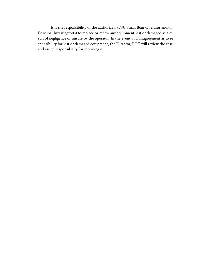It is the responsibility of the authorized SFSU Small Boat Operator and/or Principal Investigator(s) to replace or renew any equipment lost or damaged as a result of negligence or misuse by the operator. In the event of a disagreement as to responsibility for lost or damaged equipment, the Director, RTC will review the case and assign responsibility for replacing it.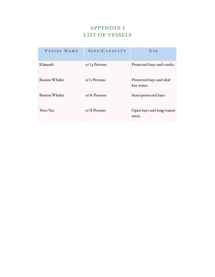## APPENDIX I LIST OF VESSELS

| VESSEL NAME          | SIZE/CAPACITY   | USE                                    |
|----------------------|-----------------|----------------------------------------|
| Klamath              | $107/4$ Persons | Protected bays and creeks.             |
| <b>Boston Whaler</b> | $15'/5$ Persons | Protected bays and shal-<br>low water. |
| <b>Boston Whaler</b> | $19'/6$ Persons | Semi-protected bays.                   |
| Twin Vee             | $2I'/8$ Persons | Open bays and long transit<br>areas.   |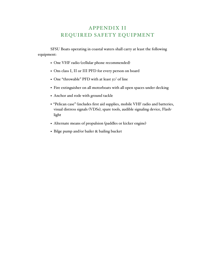## APPENDIX II REQUIRED SAFETY EQUIPMENT

SFSU Boats operating in coastal waters shall carry at least the following equipment:

- One VHF radio (cellular phone recommended)
- Ons class I, II or III PFD for every person on board
- One "throwable" PFD with at least 50' of line
- Fire extinguisher on all motorboats with all open spaces under decking
- Anchor and rode with ground tackle
- "Pelican case" (includes first aid supplies, mobile VHF radio and batteries, visual distress signals (VDSs), spare tools, audible signaling device, Flashlight
- Alternate means of propulsion (paddles or kicker engine)
- Bilge pump and/or bailer & bailing bucket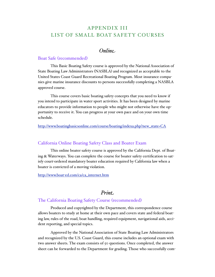## APPENDIX III LIST OF SMALL BOAT SAFETY COURSES

## *Online*

### Boat Safe (recommended)

This Basic Boating Safety course is approved by the National Association of State Boating Law Administrators (NASBLA) and recognized as acceptable to the United States Coast Guard Recreational Boating Program. Most insurance companies give marine insurance discounts to persons successfully completing a NASBLA approved course.

This course covers basic boating safety concepts that you need to know if you intend to participate in water sport activities. It has been designed by marine educators to provide information to people who might not otherwise have the opportunity to receive it. You can progress at your own pace and on your own time schedule.

[http://www.boatingbasicsonline.com/course/boating/indexa.php?new\\_state=CA](http://www.boatingbasicsonline.com/course/boating/indexa.php?new_state=CA)

#### California Online Boating Safety Class and Boater Exam

This online boater safety course is approved by the California Dept. of Boating & Waterways. You can complete the course for boater safety certification to satisfy court-ordered mandatory boater education required by California law when a boater is convicted of a moving violation.

http://www.boat-[ed.com/ca/ca\\_internet.htm](http://www.boat-ed.com/ca/ca_internet.htm)

## *Print*

### The California Boating Safety Course (recommended)

Produced and copyrighted by the Department, this correspondence course allows boaters to study at home at their own pace and covers state and federal boating law, rules of the road, boat handling, required equipment, navigational aids, accident reporting, and special topics.

Approved by the National Association of State Boating Law Administrators and recognized by the U.S. Coast Guard, this course includes an optional exam with two answer sheets. The exam consists of 50 questions. Once completed, the answer sheet can be forwarded to the Department for grading. Those who successfully com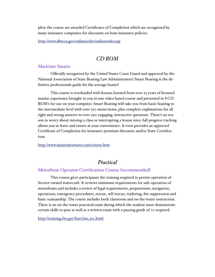plete the course are awarded Certificates of Completion which are recognized by many insurance companies for discounts on boat insurance policies.

<http://www.dbw.ca.gov/onlineorder/onlineorder.asp>

## *CD ROM*

#### Maritime Smarts

Officially recognized by the United States Coast Guard and approved by the National Association of State Boating Law Administrators! Smart Boating is the definitive professionals guide for the average boater!

This course is overloaded with lessons learned from over 25 years of licensed marine experience brought to you in one video based course and presented in 8 CD-ROM's for use on your computer. Smart Boating will take you from basic boating to the intermediate level with over 250 menu items, plus complete explanations for all right and wrong answers to over 290 engaging, interactive questions. There's no reason to worry about missing a class or interrupting a lesson since full progress tracking allows you to leave and return at your convenience. It even provides an approved Certificate of Completion for insurance premium discounts and/or State Certification.

<http://www.maritimesmarts.com/course.htm>

## *Practical*

## Motorboat Operator Certification Course (recommended)

This course gives participants the training required to permit operation of Service-owned watercraft. It reviews minimum requirements for safe operation of motorboats and includes a review of legal requirements, preparations, navigation, operations, emergency procedures, rescue, self rescue, trailering, fire suppression and basic seamanship. The course includes both classroom and on-the-water instruction. There is an on-the-water practical exam during which the student must demonstrate certain skills to pass as well as a written exam with a passing grade of 70 required.

[http://training.fws.gov/bart/mo\\_icc.html](http://training.fws.gov/bart/mo_icc.html)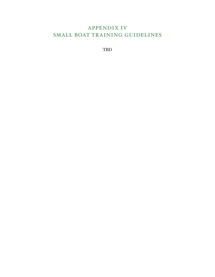## APPENDIX IV SMALL BOAT TRAINING GUIDELINES

TBD